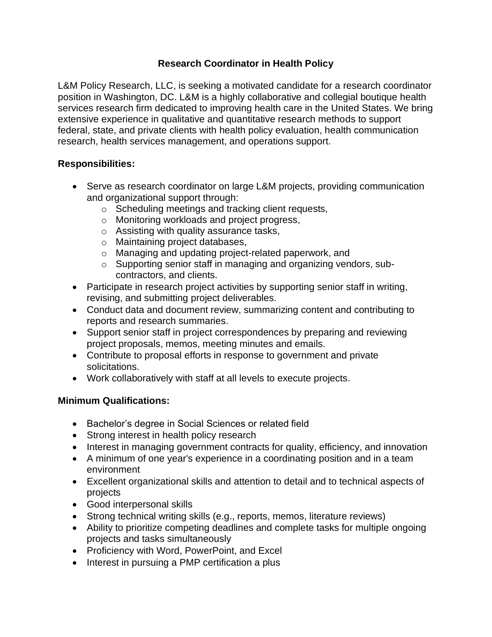## **Research Coordinator in Health Policy**

L&M Policy Research, LLC, is seeking a motivated candidate for a research coordinator position in Washington, DC. L&M is a highly collaborative and collegial boutique health services research firm dedicated to improving health care in the United States. We bring extensive experience in qualitative and quantitative research methods to support federal, state, and private clients with health policy evaluation, health communication research, health services management, and operations support.

## **Responsibilities:**

- Serve as research coordinator on large L&M projects, providing communication and organizational support through:
	- o Scheduling meetings and tracking client requests,
	- o Monitoring workloads and project progress,
	- o Assisting with quality assurance tasks,
	- o Maintaining project databases,
	- o Managing and updating project-related paperwork, and
	- o Supporting senior staff in managing and organizing vendors, subcontractors, and clients.
- Participate in research project activities by supporting senior staff in writing, revising, and submitting project deliverables.
- Conduct data and document review, summarizing content and contributing to reports and research summaries.
- Support senior staff in project correspondences by preparing and reviewing project proposals, memos, meeting minutes and emails.
- Contribute to proposal efforts in response to government and private solicitations.
- Work collaboratively with staff at all levels to execute projects.

## **Minimum Qualifications:**

- Bachelor's degree in Social Sciences or related field
- Strong interest in health policy research
- Interest in managing government contracts for quality, efficiency, and innovation
- A minimum of one year's experience in a coordinating position and in a team environment
- Excellent organizational skills and attention to detail and to technical aspects of projects
- Good interpersonal skills
- Strong technical writing skills (e.g., reports, memos, literature reviews)
- Ability to prioritize competing deadlines and complete tasks for multiple ongoing projects and tasks simultaneously
- Proficiency with Word, PowerPoint, and Excel
- Interest in pursuing a PMP certification a plus